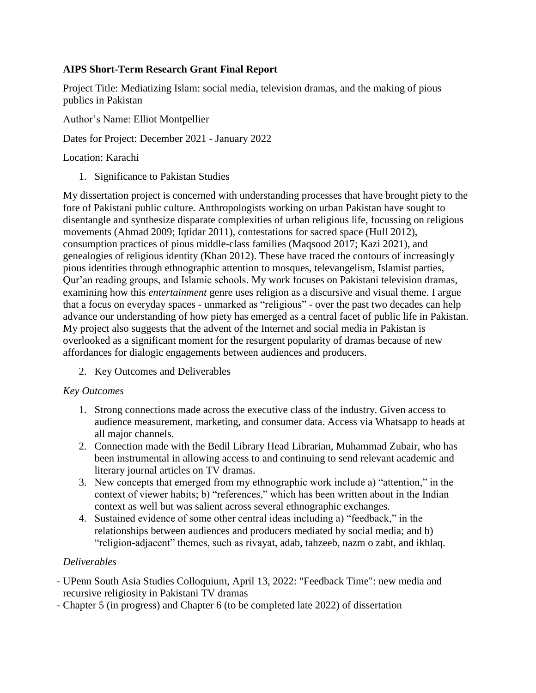## **AIPS Short-Term Research Grant Final Report**

Project Title: Mediatizing Islam: social media, television dramas, and the making of pious publics in Pakistan

Author's Name: Elliot Montpellier

Dates for Project: December 2021 - January 2022

Location: Karachi

1. Significance to Pakistan Studies

My dissertation project is concerned with understanding processes that have brought piety to the fore of Pakistani public culture. Anthropologists working on urban Pakistan have sought to disentangle and synthesize disparate complexities of urban religious life, focussing on religious movements (Ahmad 2009; Iqtidar 2011), contestations for sacred space (Hull 2012), consumption practices of pious middle-class families (Maqsood 2017; Kazi 2021), and genealogies of religious identity (Khan 2012). These have traced the contours of increasingly pious identities through ethnographic attention to mosques, televangelism, Islamist parties, Qur'an reading groups, and Islamic schools. My work focuses on Pakistani television dramas, examining how this *entertainment* genre uses religion as a discursive and visual theme. I argue that a focus on everyday spaces - unmarked as "religious" - over the past two decades can help advance our understanding of how piety has emerged as a central facet of public life in Pakistan. My project also suggests that the advent of the Internet and social media in Pakistan is overlooked as a significant moment for the resurgent popularity of dramas because of new affordances for dialogic engagements between audiences and producers.

2. Key Outcomes and Deliverables

## *Key Outcomes*

- 1. Strong connections made across the executive class of the industry. Given access to audience measurement, marketing, and consumer data. Access via Whatsapp to heads at all major channels.
- 2. Connection made with the Bedil Library Head Librarian, Muhammad Zubair, who has been instrumental in allowing access to and continuing to send relevant academic and literary journal articles on TV dramas.
- 3. New concepts that emerged from my ethnographic work include a) "attention," in the context of viewer habits; b) "references," which has been written about in the Indian context as well but was salient across several ethnographic exchanges.
- 4. Sustained evidence of some other central ideas including a) "feedback," in the relationships between audiences and producers mediated by social media; and b) "religion-adjacent" themes, such as rivayat, adab, tahzeeb, nazm o zabt, and ikhlaq.

## *Deliverables*

- UPenn South Asia Studies Colloquium, April 13, 2022: "Feedback Time": new media and recursive religiosity in Pakistani TV dramas
- Chapter 5 (in progress) and Chapter 6 (to be completed late 2022) of dissertation